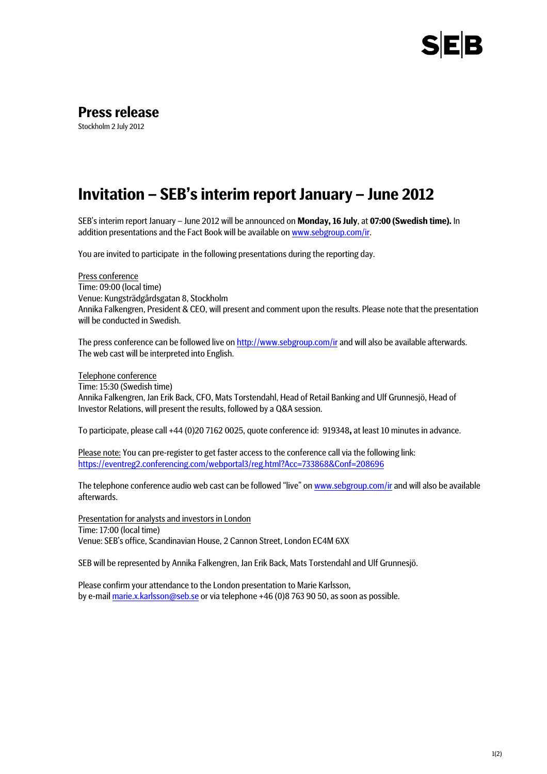

## **Press release**

Stockholm 2 July 2012

## **Invitation – SEB's interim report January – June 2012**

SEB's interim report January – June 2012 will be announced on **Monday, 16 July**, at **07:00 (Swedish time).** In addition presentations and the Fact Book will be available on www.sebgroup.com/ir.

You are invited to participate in the following presentations during the reporting day.

Press conference Time: 09:00 (local time) Venue: Kungsträdgårdsgatan 8, Stockholm Annika Falkengren, President & CEO, will present and comment upon the results. Please note that the presentation will be conducted in Swedish.

The press conference can be followed live on http://www.sebgroup.com/ir and will also be available afterwards. The web cast will be interpreted into English.

## Telephone conference

Time: 15:30 (Swedish time) Annika Falkengren, Jan Erik Back, CFO, Mats Torstendahl, Head of Retail Banking and Ulf Grunnesjö, Head of Investor Relations, will present the results, followed by a Q&A session.

To participate, please call +44 (0)20 7162 0025, quote conference id: 919348**,** at least 10 minutes in advance.

Please note: You can pre-register to get faster access to the conference call via the following link: https://eventreg2.conferencing.com/webportal3/reg.html?Acc=733868&Conf=208696

The telephone conference audio web cast can be followed "live" on www.sebgroup.com/ir and will also be available afterwards.

Presentation for analysts and investors in London Time: 17:00 (local time) Venue: SEB's office, Scandinavian House, 2 Cannon Street, London EC4M 6XX

SEB will be represented by Annika Falkengren, Jan Erik Back, Mats Torstendahl and Ulf Grunnesjö.

Please confirm your attendance to the London presentation to Marie Karlsson, by e-mail marie.x.karlsson@seb.se or via telephone +46 (0)8 763 90 50, as soon as possible.